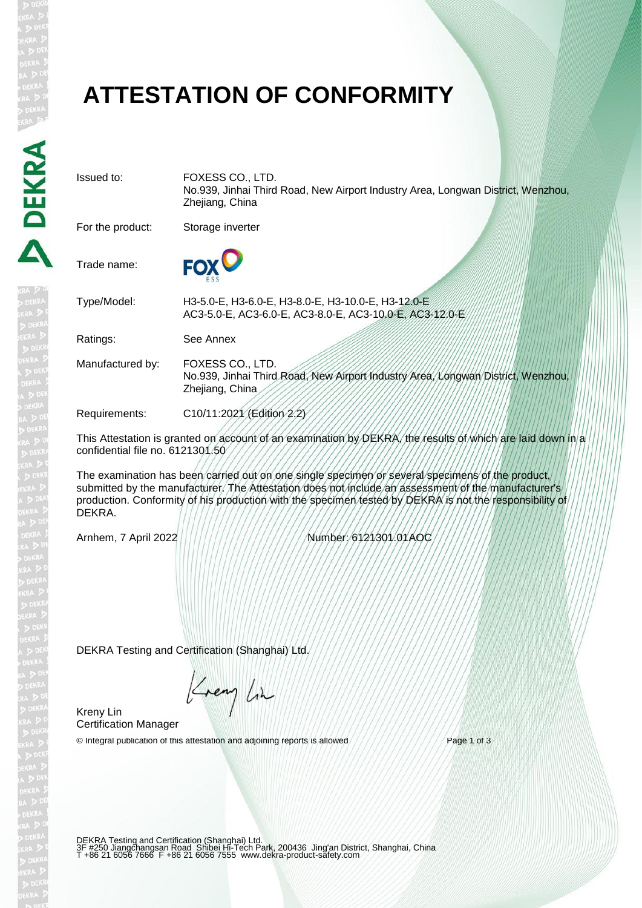# **ATTESTATION OF CONFORMITY**

Issued to: FOXESS CO., LTD. No.939, Jinhai Third Road, New Airport Industry Area, Longwan District, Wenzhou, Zhejiang, China For the product: Storage inverter **FOX** Trade name: Type/Model: H3-5.0-E, H3-6.0-E, H3-8.0-E, H3-10.0-E, H3-12.0-E AC3-5.0-E, AC3-6.0-E, AC3-8.0-E, AC3-10.0-E, AC3-12.0-E Ratings: See Annex Manufactured by: FOXESS CO., LTD. No.939, Jinhai Third Road, New Airport Industry Area, Longwan District, Wenzhou, Zhejiang, China Requirements: C10/11:2021 (Edition 2.2)

This Attestation is granted on account of an examination by DEKRA, the results of which are laid down in a confidential file no. 6121301.50

The examination has been carried out on one single specimen or several specimens of the product, submitted by the manufacturer. The Attestation does not include an assessment of the manufacturer's production. Conformity of his production with the specimen tested by DEKRA is not the responsibility of DEKRA.

Arnhem, 7 April 2022 Number: 6121301.01AOC

DEKRA Testing and Certification (Shanghai) Ltd.

Krey Lin

Kreny Lin Certification Manager

© Integral publication of this attestation and adjoining reports is allowed  $////////////$  Page 1 of 3

DEKRA Testing and Certification (Shanghai) Ltd.<br>3F #250 Jiangchangsan Road Shibei Hi-Tech Park, 200436 Jing'an District, Shanghai, China<br>T +86 21 6056 7666 F +86 21 6056 7555 www.dekra-product-safety.com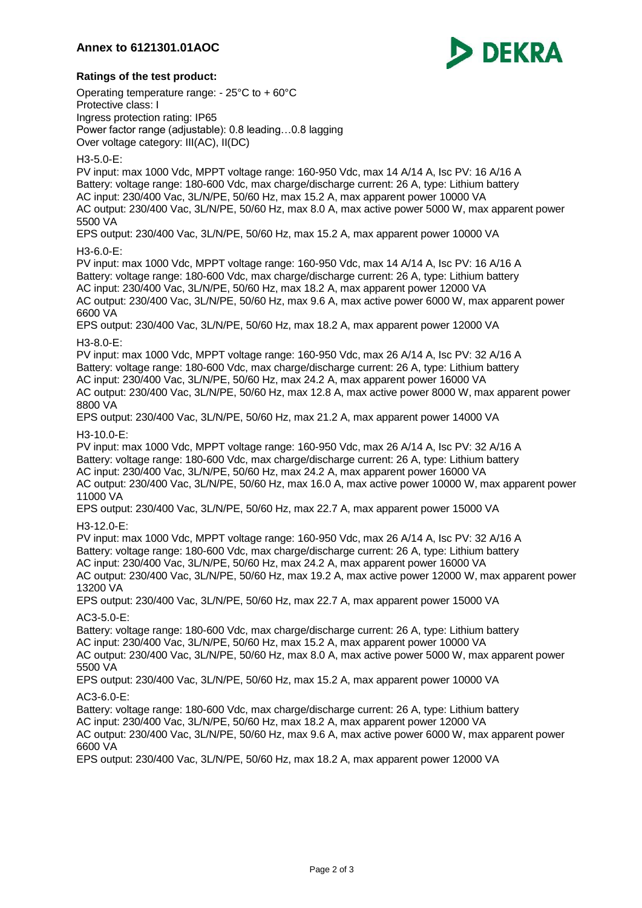

## **Ratings of the test product:**

Operating temperature range: - 25°C to + 60°C Protective class: I Ingress protection rating: IP65 Power factor range (adjustable): 0.8 leading…0.8 lagging Over voltage category: III(AC), II(DC)

#### H3-5.0-E:

PV input: max 1000 Vdc, MPPT voltage range: 160-950 Vdc, max 14 A/14 A, Isc PV: 16 A/16 A Battery: voltage range: 180-600 Vdc, max charge/discharge current: 26 A, type: Lithium battery AC input: 230/400 Vac, 3L/N/PE, 50/60 Hz, max 15.2 A, max apparent power 10000 VA AC output: 230/400 Vac, 3L/N/PE, 50/60 Hz, max 8.0 A, max active power 5000 W, max apparent power 5500 VA

EPS output: 230/400 Vac, 3L/N/PE, 50/60 Hz, max 15.2 A, max apparent power 10000 VA

#### H3-6.0-E:

PV input: max 1000 Vdc, MPPT voltage range: 160-950 Vdc, max 14 A/14 A, Isc PV: 16 A/16 A Battery: voltage range: 180-600 Vdc, max charge/discharge current: 26 A, type: Lithium battery AC input: 230/400 Vac, 3L/N/PE, 50/60 Hz, max 18.2 A, max apparent power 12000 VA AC output: 230/400 Vac, 3L/N/PE, 50/60 Hz, max 9.6 A, max active power 6000 W, max apparent power 6600 VA

EPS output: 230/400 Vac, 3L/N/PE, 50/60 Hz, max 18.2 A, max apparent power 12000 VA

## H3-8.0-E:

PV input: max 1000 Vdc, MPPT voltage range: 160-950 Vdc, max 26 A/14 A, Isc PV: 32 A/16 A Battery: voltage range: 180-600 Vdc, max charge/discharge current: 26 A, type: Lithium battery AC input: 230/400 Vac, 3L/N/PE, 50/60 Hz, max 24.2 A, max apparent power 16000 VA AC output: 230/400 Vac, 3L/N/PE, 50/60 Hz, max 12.8 A, max active power 8000 W, max apparent power 8800 VA

EPS output: 230/400 Vac, 3L/N/PE, 50/60 Hz, max 21.2 A, max apparent power 14000 VA

#### H3-10.0-E:

PV input: max 1000 Vdc, MPPT voltage range: 160-950 Vdc, max 26 A/14 A, Isc PV: 32 A/16 A Battery: voltage range: 180-600 Vdc, max charge/discharge current: 26 A, type: Lithium battery AC input: 230/400 Vac, 3L/N/PE, 50/60 Hz, max 24.2 A, max apparent power 16000 VA AC output: 230/400 Vac, 3L/N/PE, 50/60 Hz, max 16.0 A, max active power 10000 W, max apparent power 11000 VA

EPS output: 230/400 Vac, 3L/N/PE, 50/60 Hz, max 22.7 A, max apparent power 15000 VA

#### H3-12.0-E:

PV input: max 1000 Vdc, MPPT voltage range: 160-950 Vdc, max 26 A/14 A, Isc PV: 32 A/16 A Battery: voltage range: 180-600 Vdc, max charge/discharge current: 26 A, type: Lithium battery AC input: 230/400 Vac, 3L/N/PE, 50/60 Hz, max 24.2 A, max apparent power 16000 VA AC output: 230/400 Vac, 3L/N/PE, 50/60 Hz, max 19.2 A, max active power 12000 W, max apparent power 13200 VA

EPS output: 230/400 Vac, 3L/N/PE, 50/60 Hz, max 22.7 A, max apparent power 15000 VA

## AC3-5.0-E:

Battery: voltage range: 180-600 Vdc, max charge/discharge current: 26 A, type: Lithium battery AC input: 230/400 Vac, 3L/N/PE, 50/60 Hz, max 15.2 A, max apparent power 10000 VA AC output: 230/400 Vac, 3L/N/PE, 50/60 Hz, max 8.0 A, max active power 5000 W, max apparent power 5500 VA

EPS output: 230/400 Vac, 3L/N/PE, 50/60 Hz, max 15.2 A, max apparent power 10000 VA

#### AC3-6.0-E:

Battery: voltage range: 180-600 Vdc, max charge/discharge current: 26 A, type: Lithium battery AC input: 230/400 Vac, 3L/N/PE, 50/60 Hz, max 18.2 A, max apparent power 12000 VA AC output: 230/400 Vac, 3L/N/PE, 50/60 Hz, max 9.6 A, max active power 6000 W, max apparent power 6600 VA

EPS output: 230/400 Vac, 3L/N/PE, 50/60 Hz, max 18.2 A, max apparent power 12000 VA